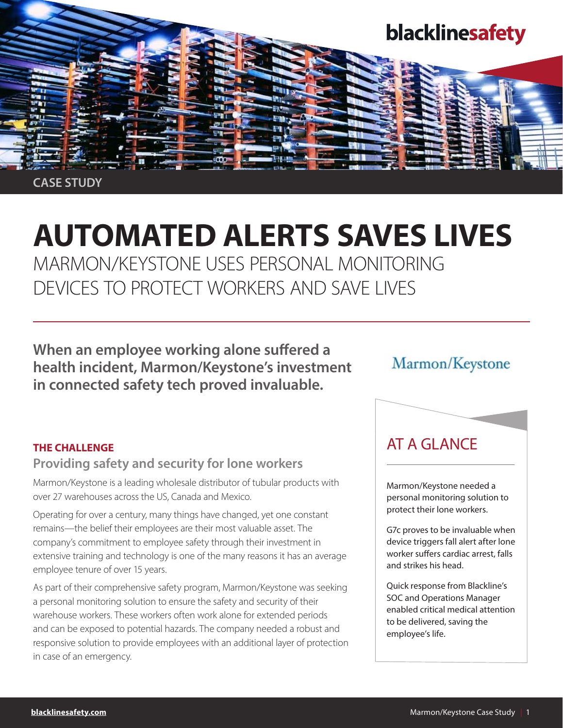

CASE STUDY

# AUTOMATED ALERTS SAVES LIVES

MARMON/KEYSTONE USES PERSONAL MONITORING DEVICES TO PROTECT WORKERS AND SAVE LIVES

When an employee working alone suffered a health incident, Marmon/Keystone's investment in connected safety tech proved invaluable.

# Marmon/Keystone

### THE CHALLENGE

## Providing safety and security for lone workers

Marmon/Keystone is a leading wholesale distributor of tubular products with over 27 warehouses across the US, Canada and Mexico.

Operating for over a century, many things have changed, yet one constant remains—the belief their employees are their most valuable asset. The company's commitment to employee safety through their investment in extensive training and technology is one of the many reasons it has an average employee tenure of over 15 years.

As part of their comprehensive safety program, Marmon/Keystone was seeking a personal monitoring solution to ensure the safety and security of their warehouse workers. These workers often work alone for extended periods and can be exposed to potential hazards. The company needed a robust and responsive solution to provide employees with an additional layer of protection in case of an emergency.

# AT A GLANCE

Marmon/Keystone needed a personal monitoring solution to protect their lone workers.

G7c proves to be invaluable when device triggers fall alert after lone worker suffers cardiac arrest, falls and strikes his head.

Quick response from Blackline's SOC and Operations Manager enabled critical medical attention to be delivered, saving the employee's life.